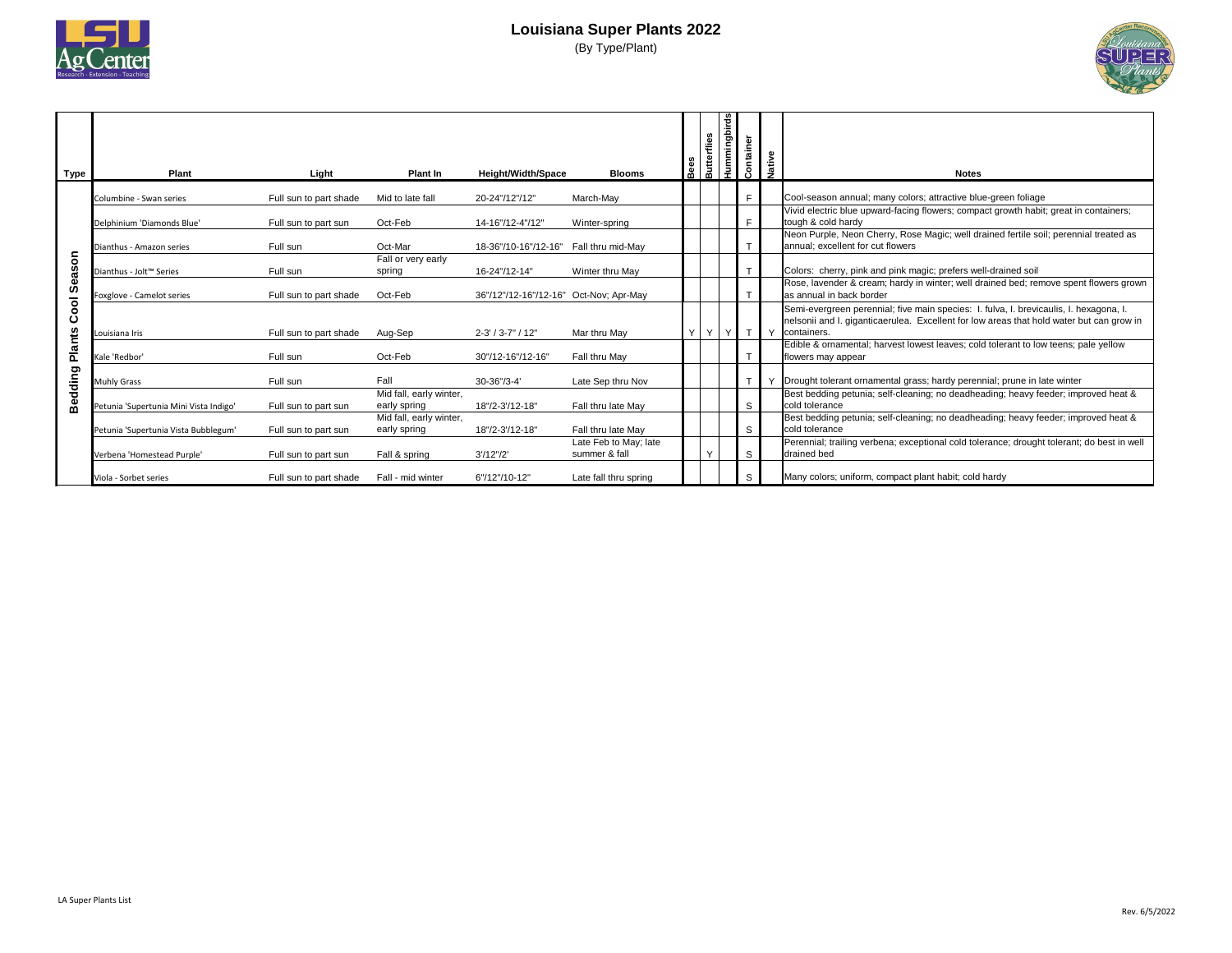

## **Louisiana Super Plants 2022**

(By Type/Plant)

| <b>Type</b>           | <b>Plant</b>                           | Light                  | <b>Plant In</b>                         | <b>Height/Width/Space</b>              | <b>Blooms</b>                          | Bee    | <b>Butterflies</b> | <b>Hummingbirds</b> | Container    | Native<br><b>Notes</b>                                                                                                                                                                            |
|-----------------------|----------------------------------------|------------------------|-----------------------------------------|----------------------------------------|----------------------------------------|--------|--------------------|---------------------|--------------|---------------------------------------------------------------------------------------------------------------------------------------------------------------------------------------------------|
|                       | Columbine - Swan series                | Full sun to part shade | Mid to late fall                        | 20-24"/12"/12"                         | March-May                              |        |                    |                     | F            | Cool-season annual; many colors; attractive blue-green foliage                                                                                                                                    |
|                       | Delphinium 'Diamonds Blue'             | Full sun to part sun   | Oct-Feb                                 | 14-16"/12-4"/12"                       | Winter-spring                          |        |                    |                     | F            | Vivid electric blue upward-facing flowers; compact growth habit; great in containers;<br>tough & cold hardy                                                                                       |
|                       | Dianthus - Amazon series               | Full sun               | Oct-Mar                                 | 18-36"/10-16"/12-16"                   | Fall thru mid-May                      |        |                    |                     |              | Neon Purple, Neon Cherry, Rose Magic; well drained fertile soil; perennial treated as<br>annual; excellent for cut flowers                                                                        |
| δ<br>eas              | Dianthus - Jolt™ Series                | Full sun               | Fall or very early<br>spring            | 16-24"/12-14"                          | Winter thru May                        |        |                    |                     | $\mathsf{T}$ | Colors: cherry, pink and pink magic; prefers well-drained soil                                                                                                                                    |
| $\boldsymbol{\omega}$ | Foxglove - Camelot series              | Full sun to part shade | Oct-Feb                                 | 36"/12"/12-16"/12-16" Oct-Nov; Apr-May |                                        |        |                    |                     | $\mathsf{T}$ | Rose, lavender & cream; hardy in winter; well drained bed; remove spent flowers grown<br>as annual in back border                                                                                 |
| Cool                  | Louisiana Iris                         | Full sun to part shade | Aug-Sep                                 | $2 - 3' / 3 - 7'' / 12''$              | Mar thru May                           | $\vee$ | Y                  | $Y \mid$            | T I Y        | Semi-evergreen perennial; five main species: I. fulva, I. brevicaulis, I. hexagona, I.<br>nelsonii and I. giganticaerulea. Excellent for low areas that hold water but can grow in<br>containers. |
| <b>Plants</b>         | Kale 'Redbor'                          | Full sun               | Oct-Feb                                 | 30"/12-16"/12-16"                      | Fall thru May                          |        |                    |                     |              | Edible & ornamental; harvest lowest leaves; cold tolerant to low teens; pale yellow<br>flowers may appear                                                                                         |
| guipp                 | <b>Muhly Grass</b>                     | Full sun               | Fall                                    | 30-36"/3-4'                            | Late Sep thru Nov                      |        |                    |                     | $\mathsf{T}$ | Drought tolerant ornamental grass; hardy perennial; prune in late winter                                                                                                                          |
| Вē                    | Petunia 'Supertunia Mini Vista Indigo' | Full sun to part sun   | Mid fall, early winter,<br>early spring | 18"/2-3'/12-18"                        | Fall thru late May                     |        |                    |                     | S            | Best bedding petunia; self-cleaning; no deadheading; heavy feeder; improved heat &<br>cold tolerance                                                                                              |
|                       | Petunia 'Supertunia Vista Bubblegum'   | Full sun to part sun   | Mid fall, early winter,<br>early spring | 18"/2-3'/12-18"                        | Fall thru late May                     |        |                    |                     | S            | Best bedding petunia; self-cleaning; no deadheading; heavy feeder; improved heat &<br>cold tolerance                                                                                              |
|                       | Verbena 'Homestead Purple'             | Full sun to part sun   | Fall & spring                           | 3'/12''/2'                             | Late Feb to May; late<br>summer & fall |        | $\checkmark$       |                     | <sub>S</sub> | Perennial; trailing verbena; exceptional cold tolerance; drought tolerant; do best in well<br>drained bed                                                                                         |
|                       | Viola - Sorbet series                  | Full sun to part shade | Fall - mid winter                       | 6"/12"/10-12"                          | Late fall thru spring                  |        |                    |                     | S            | Many colors; uniform, compact plant habit; cold hardy                                                                                                                                             |

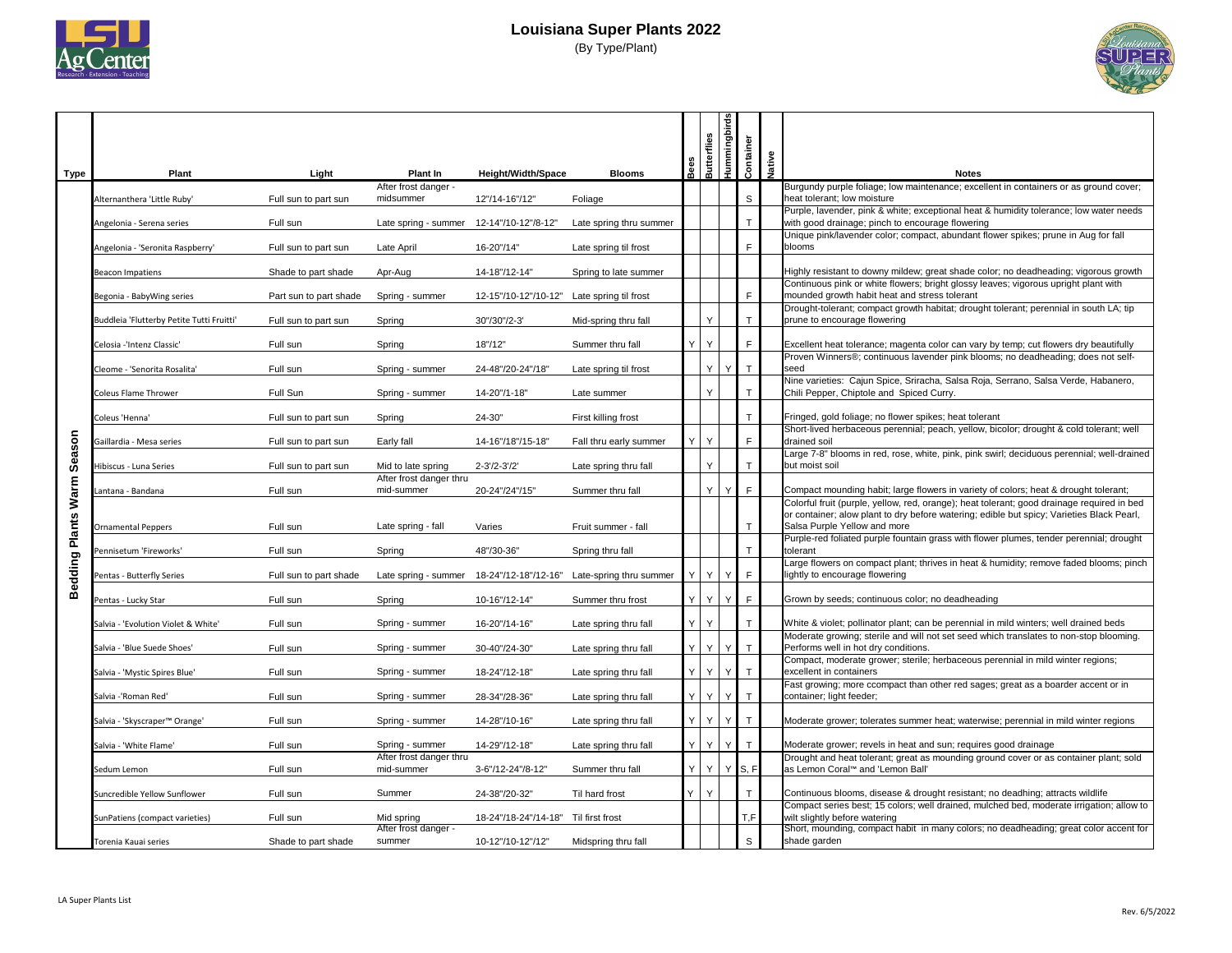

# **Louisiana Super Plants 2022**

(By Type/Plant)

| <b>Type</b>                   | <b>Plant</b>                              | Light                  | <b>Plant In</b>                            | <b>Height/Width/Space</b>            | <b>Blooms</b>           | Bees<br>Butterflies | Hummingbirds          | Container           | Native | <b>Notes</b>                                                                                                                                                                                                            |
|-------------------------------|-------------------------------------------|------------------------|--------------------------------------------|--------------------------------------|-------------------------|---------------------|-----------------------|---------------------|--------|-------------------------------------------------------------------------------------------------------------------------------------------------------------------------------------------------------------------------|
|                               |                                           |                        | After frost danger -                       |                                      |                         |                     |                       |                     |        | Burgundy purple foliage; low maintenance; excellent in containers or as ground cover;                                                                                                                                   |
|                               | Alternanthera 'Little Ruby'               | Full sun to part sun   | midsummer                                  | 12"/14-16"/12"                       | Foliage                 |                     |                       | S                   |        | heat tolerant; low moisture<br>Purple, lavender, pink & white; exceptional heat & humidity tolerance; low water needs                                                                                                   |
|                               | Angelonia - Serena series                 | Full sun               | Late spring - summer                       | 12-14"/10-12"/8-12'                  | Late spring thru summer |                     |                       |                     |        | with good drainage; pinch to encourage flowering<br>Unique pink/lavender color; compact, abundant flower spikes; prune in Aug for fall                                                                                  |
|                               | Angelonia - 'Seronita Raspberry'          | Full sun to part sun   | Late April                                 | 16-20"/14"                           | Late spring til frost   |                     |                       | F                   |        | blooms                                                                                                                                                                                                                  |
|                               | <b>Beacon Impatiens</b>                   | Shade to part shade    | Apr-Aug                                    | 14-18"/12-14"                        | Spring to late summer   |                     |                       |                     |        | Highly resistant to downy mildew; great shade color; no deadheading; vigorous growth<br>Continuous pink or white flowers; bright glossy leaves; vigorous upright plant with                                             |
|                               | Begonia - BabyWing series                 | Part sun to part shade | Spring - summer                            | 12-15"/10-12"/10-12"                 | Late spring til frost   |                     |                       | F                   |        | mounded growth habit heat and stress tolerant<br>Drought-tolerant; compact growth habitat; drought tolerant; perennial in south LA; tip                                                                                 |
|                               | Buddleia 'Flutterby Petite Tutti Fruitti' | Full sun to part sun   | Spring                                     | 30"/30"/2-3'                         | Mid-spring thru fall    |                     | Y                     |                     |        | prune to encourage flowering                                                                                                                                                                                            |
|                               | Celosia -'Intenz Classic'                 | Full sun               | Spring                                     | 18''/12''                            | Summer thru fall        | <sup>Y</sup>        | Y                     | $\mathsf{F}$        |        | Excellent heat tolerance; magenta color can vary by temp; cut flowers dry beautifully                                                                                                                                   |
|                               | Cleome - 'Senorita Rosalita'              | Full sun               | Spring - summer                            | 24-48"/20-24"/18"                    | Late spring til frost   |                     | Y.                    | Y <sub>1</sub><br>T |        | Proven Winners®; continuous lavender pink blooms; no deadheading; does not self-<br><b>Seed</b>                                                                                                                         |
|                               | <b>Coleus Flame Thrower</b>               | Full Sun               | Spring - summer                            | 14-20"/1-18"                         | Late summer             |                     | Y                     |                     |        | Nine varieties: Cajun Spice, Sriracha, Salsa Roja, Serrano, Salsa Verde, Habanero,<br>Chili Pepper, Chiptole and Spiced Curry.                                                                                          |
|                               | Coleus 'Henna'                            | Full sun to part sun   | Spring                                     | 24-30"                               | First killing frost     |                     |                       |                     |        | Fringed, gold foliage; no flower spikes; heat tolerant                                                                                                                                                                  |
| uose                          | Gaillardia - Mesa series                  | Full sun to part sun   | Early fall                                 | 14-16"/18"/15-18"                    | Fall thru early summer  |                     | Y                     | F                   |        | Short-lived herbaceous perennial; peach, yellow, bicolor; drought & cold tolerant; well<br>drained soil                                                                                                                 |
| $\mathbf{\omega}$<br>S.       | Hibiscus - Luna Series                    | Full sun to part sun   | Mid to late spring                         | 2-3'/2-3'/2'                         | Late spring thru fall   |                     | Y                     |                     |        | Large 7-8" blooms in red, rose, white, pink, pink swirl; deciduous perennial; well-drained<br>but moist soil                                                                                                            |
| <b>E</b>                      | Lantana - Bandana                         | Full sun               | After frost danger thru<br>mid-summer      | 20-24"/24"/15"                       | Summer thru fall        |                     | $\vee$                | Е<br>Y I            |        | Compact mounding habit; large flowers in variety of colors; heat & drought tolerant;                                                                                                                                    |
| $\mathbf{S}$<br><b>Plants</b> | <b>Ornamental Peppers</b>                 | Full sun               | Late spring - fall                         | Varies                               | Fruit summer - fall     |                     |                       |                     |        | Colorful fruit (purple, yellow, red, orange); heat tolerant; good drainage required in bed<br>or container; alow plant to dry before watering; edible but spicy; Varieties Black Pearl,<br>Salsa Purple Yellow and more |
|                               | Pennisetum 'Fireworks'                    | Full sun               | Spring                                     | 48"/30-36"                           | Spring thru fall        |                     |                       |                     |        | Purple-red foliated purple fountain grass with flower plumes, tender perennial; drought<br>tolerant                                                                                                                     |
| Bedding                       | Pentas - Butterfly Series                 | Full sun to part shade | Late spring - summer                       | 18-24"/12-18"/12-16"                 | Late-spring thru summer |                     | $Y \mid$<br>$Y \mid$  | $\mathsf{F}$        |        | Large flowers on compact plant; thrives in heat & humidity; remove faded blooms; pinch<br>lightly to encourage flowering                                                                                                |
|                               | Pentas - Lucky Star                       | Full sun               | Spring                                     | 10-16"/12-14"                        | Summer thru frost       |                     | YYY<br>Y <sub>1</sub> | F                   |        | Grown by seeds; continuous color; no deadheading                                                                                                                                                                        |
|                               | Salvia - 'Evolution Violet & White'       | Full sun               | Spring - summer                            | 16-20"/14-16"                        | Late spring thru fall   |                     | Y                     |                     |        | White & violet; pollinator plant; can be perennial in mild winters; well drained beds                                                                                                                                   |
|                               |                                           |                        |                                            |                                      |                         |                     | Y<br>Y I              |                     |        | Moderate growing; sterile and will not set seed which translates to non-stop blooming.                                                                                                                                  |
|                               | Salvia - 'Blue Suede Shoes'               | Full sun               | Spring - summer                            | 30-40"/24-30"                        | Late spring thru fall   | YI                  |                       |                     |        | Performs well in hot dry conditions.<br>Compact, moderate grower; sterile; herbaceous perennial in mild winter regions;                                                                                                 |
|                               | Salvia - 'Mystic Spires Blue'             | Full sun               | Spring - summer                            | 18-24"/12-18"                        | Late spring thru fall   |                     | YY                    | Y                   |        | excellent in containers<br>Fast growing; more ccompact than other red sages; great as a boarder accent or in                                                                                                            |
|                               | Salvia -'Roman Red'                       | Full sun               | Spring - summer                            | 28-34"/28-36"                        | Late spring thru fall   | YI                  | Y<br>Y I              |                     |        | container; light feeder;                                                                                                                                                                                                |
|                               | Salvia - 'Skyscraper™ Orange'             | Full sun               | Spring - summer                            | 14-28"/10-16"                        | Late spring thru fall   | YI                  | Y<br>Y                |                     |        | Moderate grower; tolerates summer heat; waterwise; perennial in mild winter regions                                                                                                                                     |
|                               | Salvia - 'White Flame'                    | Full sun               | Spring - summer<br>After frost danger thru | 14-29"/12-18"                        | Late spring thru fall   | Y                   | Y<br>Y                |                     |        | Moderate grower; revels in heat and sun; requires good drainage<br>Drought and heat tolerant; great as mounding ground cover or as container plant; sold                                                                |
|                               | Sedum Lemon                               | Full sun               | mid-summer                                 | 3-6"/12-24"/8-12"                    | Summer thru fall        |                     | $Y$ $Y$               | $Y$ S, F            |        | as Lemon Coral™ and 'Lemon Ball'                                                                                                                                                                                        |
|                               | Suncredible Yellow Sunflower              | Full sun               | Summer                                     | 24-38"/20-32"                        | Til hard frost          |                     | $\mathsf{Y}$          |                     |        | Continuous blooms, disease & drought resistant; no deadhing; attracts wildlife                                                                                                                                          |
|                               | SunPatiens (compact varieties)            | Full sun               | Mid spring                                 | 18-24"/18-24"/14-18" Til first frost |                         |                     |                       | T, F                |        | Compact series best; 15 colors; well drained, mulched bed, moderate irrigation; allow to<br>wilt slightly before watering                                                                                               |
|                               | Torenia Kauai series                      | Shade to part shade    | After frost danger -<br>summer             | 10-12"/10-12"/12"                    | Midspring thru fall     |                     |                       | S                   |        | Short, mounding, compact habit in many colors; no deadheading; great color accent for<br>shade garden                                                                                                                   |